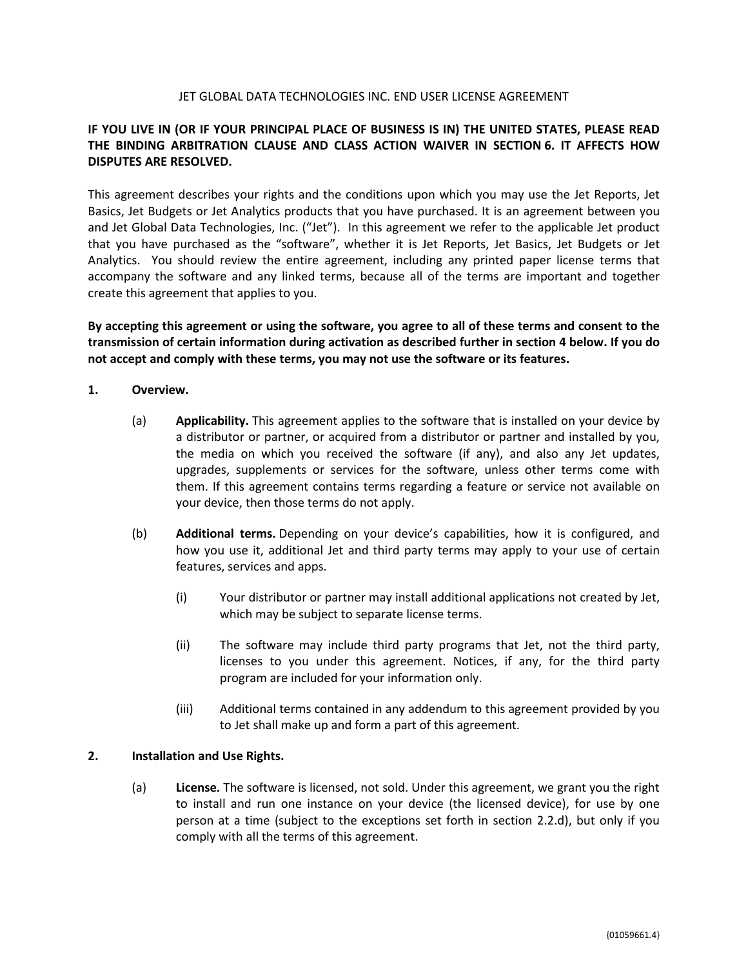#### JET GLOBAL DATA TECHNOLOGIES INC. END USER LICENSE AGREEMENT

# **IF YOU LIVE IN (OR IF YOUR PRINCIPAL PLACE OF BUSINESS IS IN) THE UNITED STATES, PLEASE READ THE BINDING ARBITRATION CLAUSE AND CLASS ACTION WAIVER IN SECTION 6. IT AFFECTS HOW DISPUTES ARE RESOLVED.**

This agreement describes your rights and the conditions upon which you may use the Jet Reports, Jet Basics, Jet Budgets or Jet Analytics products that you have purchased. It is an agreement between you and Jet Global Data Technologies, Inc. ("Jet"). In this agreement we refer to the applicable Jet product that you have purchased as the "software", whether it is Jet Reports, Jet Basics, Jet Budgets or Jet Analytics. You should review the entire agreement, including any printed paper license terms that accompany the software and any linked terms, because all of the terms are important and together create this agreement that applies to you.

By accepting this agreement or using the software, you agree to all of these terms and consent to the **transmission of certain information during activation as described further in section 4 below. If you do not accept and comply with these terms, you may not use the software or its features.**

- **1. Overview.**
	- (a) **Applicability.** This agreement applies to the software that is installed on your device by a distributor or partner, or acquired from a distributor or partner and installed by you, the media on which you received the software (if any), and also any Jet updates, upgrades, supplements or services for the software, unless other terms come with them. If this agreement contains terms regarding a feature or service not available on your device, then those terms do not apply.
	- (b) **Additional terms.** Depending on your device's capabilities, how it is configured, and how you use it, additional Jet and third party terms may apply to your use of certain features, services and apps.
		- (i) Your distributor or partner may install additional applications not created by Jet, which may be subject to separate license terms.
		- (ii) The software may include third party programs that Jet, not the third party, licenses to you under this agreement. Notices, if any, for the third party program are included for your information only.
		- (iii) Additional terms contained in any addendum to this agreement provided by you to Jet shall make up and form a part of this agreement.

#### **2. Installation and Use Rights.**

(a) **License.** The software is licensed, not sold. Under this agreement, we grant you the right to install and run one instance on your device (the licensed device), for use by one person at a time (subject to the exceptions set forth in section 2.2.d), but only if you comply with all the terms of this agreement.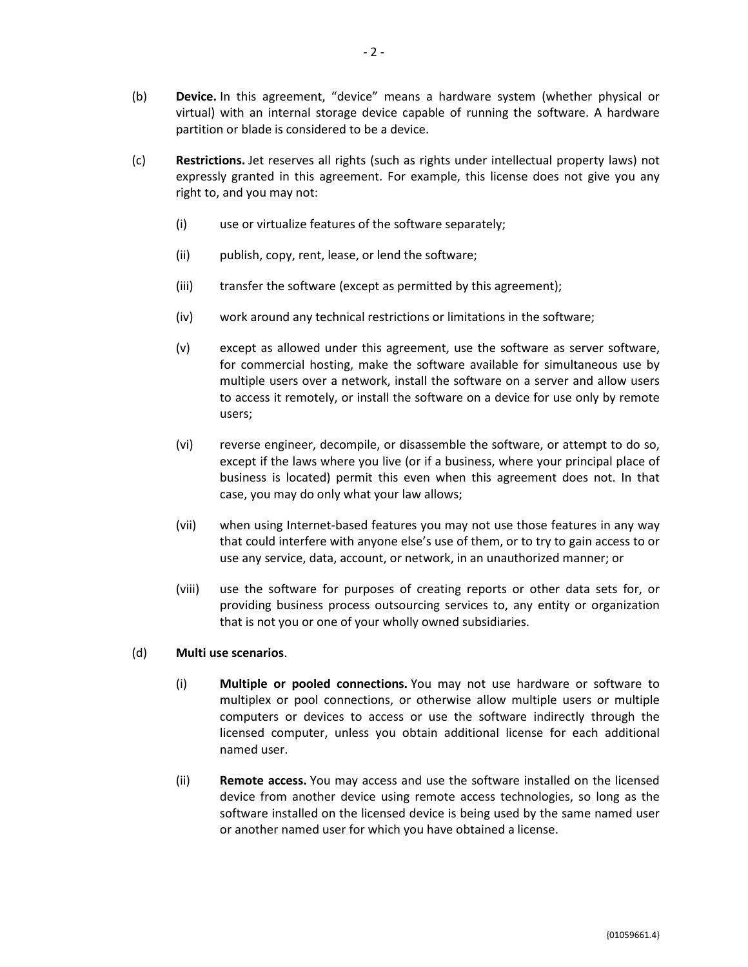- (b) **Device.** In this agreement, "device" means a hardware system (whether physical or virtual) with an internal storage device capable of running the software. A hardware partition or blade is considered to be a device.
- (c) **Restrictions.** Jet reserves all rights (such as rights under intellectual property laws) not expressly granted in this agreement. For example, this license does not give you any right to, and you may not:
	- (i) use or virtualize features of the software separately;
	- (ii) publish, copy, rent, lease, or lend the software;
	- (iii) transfer the software (except as permitted by this agreement);
	- (iv) work around any technical restrictions or limitations in the software;
	- (v) except as allowed under this agreement, use the software as server software, for commercial hosting, make the software available for simultaneous use by multiple users over a network, install the software on a server and allow users to access it remotely, or install the software on a device for use only by remote users;
	- (vi) reverse engineer, decompile, or disassemble the software, or attempt to do so, except if the laws where you live (or if a business, where your principal place of business is located) permit this even when this agreement does not. In that case, you may do only what your law allows;
	- (vii) when using Internet-based features you may not use those features in any way that could interfere with anyone else's use of them, or to try to gain access to or use any service, data, account, or network, in an unauthorized manner; or
	- (viii) use the software for purposes of creating reports or other data sets for, or providing business process outsourcing services to, any entity or organization that is not you or one of your wholly owned subsidiaries.

#### (d) **Multi use scenarios**.

- (i) **Multiple or pooled connections.** You may not use hardware or software to multiplex or pool connections, or otherwise allow multiple users or multiple computers or devices to access or use the software indirectly through the licensed computer, unless you obtain additional license for each additional named user.
- (ii) **Remote access.** You may access and use the software installed on the licensed device from another device using remote access technologies, so long as the software installed on the licensed device is being used by the same named user or another named user for which you have obtained a license.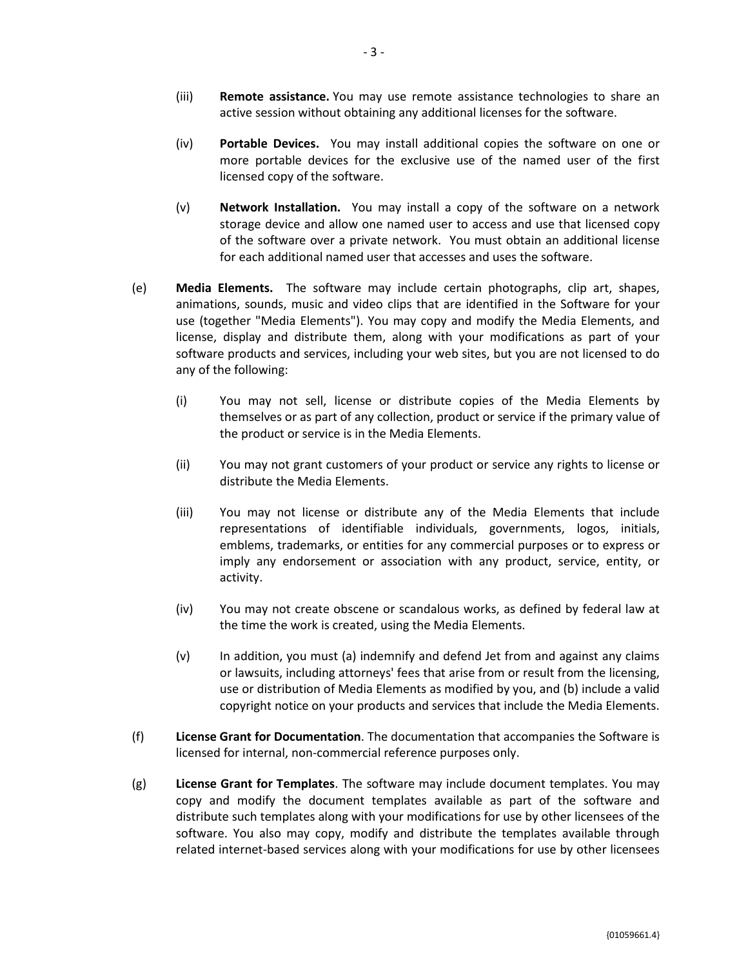- (iii) **Remote assistance.** You may use remote assistance technologies to share an active session without obtaining any additional licenses for the software.
- (iv) **Portable Devices.** You may install additional copies the software on one or more portable devices for the exclusive use of the named user of the first licensed copy of the software.
- (v) **Network Installation.** You may install a copy of the software on a network storage device and allow one named user to access and use that licensed copy of the software over a private network. You must obtain an additional license for each additional named user that accesses and uses the software.
- (e) **Media Elements.** The software may include certain photographs, clip art, shapes, animations, sounds, music and video clips that are identified in the Software for your use (together "Media Elements"). You may copy and modify the Media Elements, and license, display and distribute them, along with your modifications as part of your software products and services, including your web sites, but you are not licensed to do any of the following:
	- (i) You may not sell, license or distribute copies of the Media Elements by themselves or as part of any collection, product or service if the primary value of the product or service is in the Media Elements.
	- (ii) You may not grant customers of your product or service any rights to license or distribute the Media Elements.
	- (iii) You may not license or distribute any of the Media Elements that include representations of identifiable individuals, governments, logos, initials, emblems, trademarks, or entities for any commercial purposes or to express or imply any endorsement or association with any product, service, entity, or activity.
	- (iv) You may not create obscene or scandalous works, as defined by federal law at the time the work is created, using the Media Elements.
	- (v) In addition, you must (a) indemnify and defend Jet from and against any claims or lawsuits, including attorneys' fees that arise from or result from the licensing, use or distribution of Media Elements as modified by you, and (b) include a valid copyright notice on your products and services that include the Media Elements.
- (f) **License Grant for Documentation**. The documentation that accompanies the Software is licensed for internal, non-commercial reference purposes only.
- (g) **License Grant for Templates**. The software may include document templates. You may copy and modify the document templates available as part of the software and distribute such templates along with your modifications for use by other licensees of the software. You also may copy, modify and distribute the templates available through related internet-based services along with your modifications for use by other licensees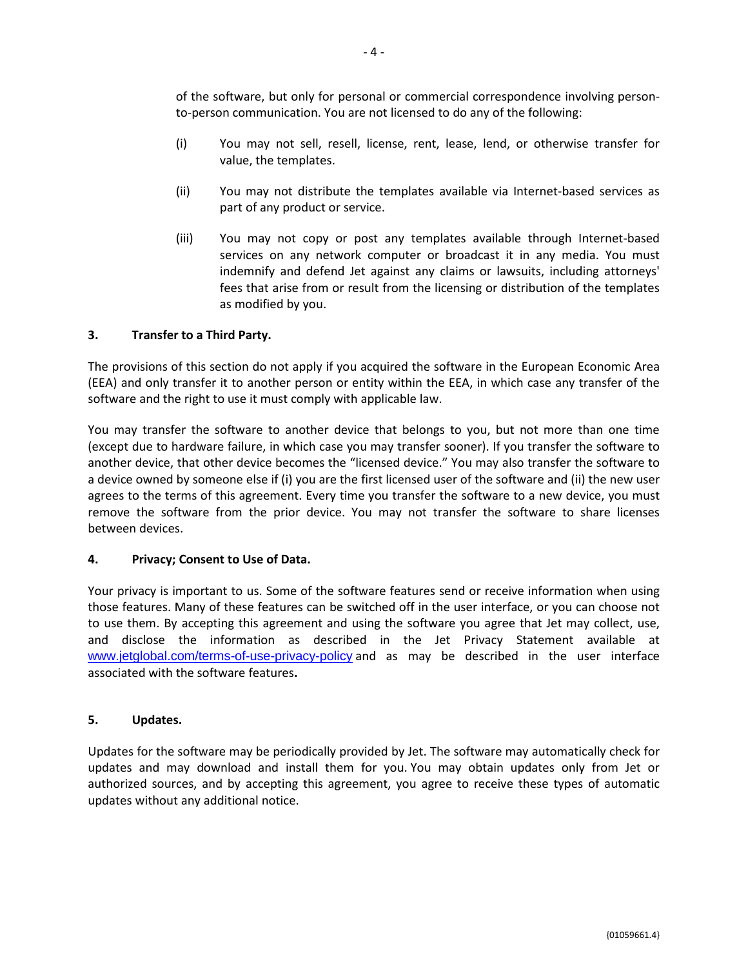of the software, but only for personal or commercial correspondence involving personto-person communication. You are not licensed to do any of the following:

- (i) You may not sell, resell, license, rent, lease, lend, or otherwise transfer for value, the templates.
- (ii) You may not distribute the templates available via Internet-based services as part of any product or service.
- (iii) You may not copy or post any templates available through Internet-based services on any network computer or broadcast it in any media. You must indemnify and defend Jet against any claims or lawsuits, including attorneys' fees that arise from or result from the licensing or distribution of the templates as modified by you.

## **3. Transfer to a Third Party.**

The provisions of this section do not apply if you acquired the software in the European Economic Area (EEA) and only transfer it to another person or entity within the EEA, in which case any transfer of the software and the right to use it must comply with applicable law.

You may transfer the software to another device that belongs to you, but not more than one time (except due to hardware failure, in which case you may transfer sooner). If you transfer the software to another device, that other device becomes the "licensed device." You may also transfer the software to a device owned by someone else if (i) you are the first licensed user of the software and (ii) the new user agrees to the terms of this agreement. Every time you transfer the software to a new device, you must remove the software from the prior device. You may not transfer the software to share licenses between devices.

## **4. Privacy; Consent to Use of Data.**

Your privacy is important to us. Some of the software features send or receive information when using those features. Many of these features can be switched off in the user interface, or you can choose not to use them. By accepting this agreement and using the software you agree that Jet may collect, use, and disclose the information as described in the Jet Privacy Statement available at [www.jetglobal.com/terms-of-use-privacy-policy](http://www.jetglobal.com/terms-of-use-privacy-policy) and as may be described in the user interface associated with the software features**.**

## **5. Updates.**

Updates for the software may be periodically provided by Jet. The software may automatically check for updates and may download and install them for you. You may obtain updates only from Jet or authorized sources, and by accepting this agreement, you agree to receive these types of automatic updates without any additional notice.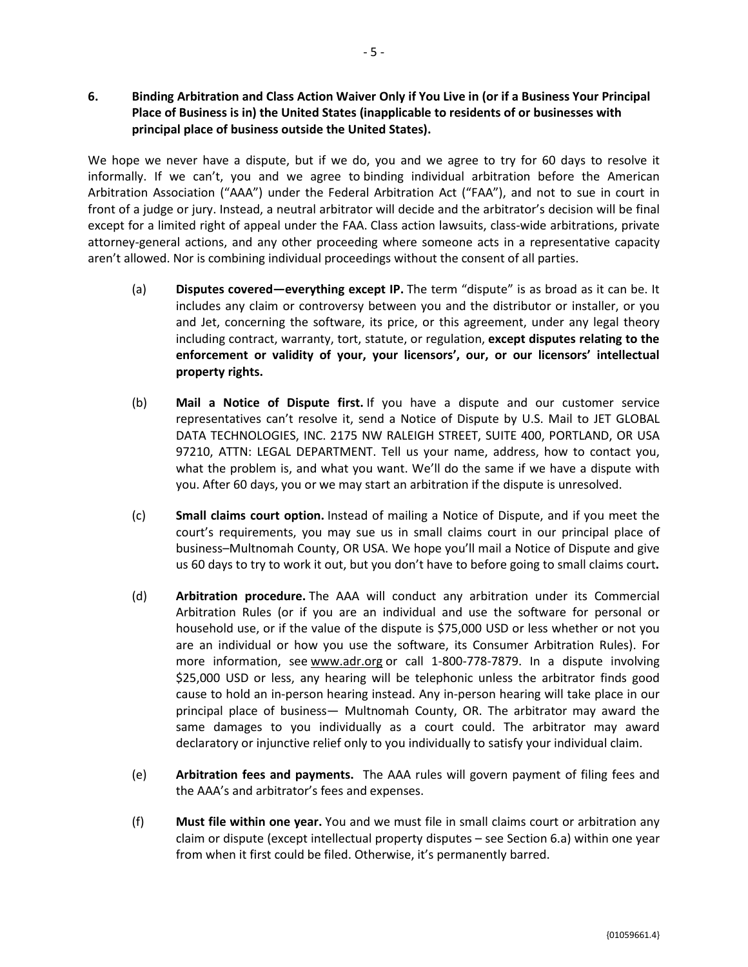# 6. Binding Arbitration and Class Action Waiver Only if You Live in (or if a Business Your Principal **Place of Business is in) the United States (inapplicable to residents of or businesses with principal place of business outside the United States).**

We hope we never have a dispute, but if we do, you and we agree to try for 60 days to resolve it informally. If we can't, you and we agree to binding individual arbitration before the American Arbitration Association ("AAA") under the Federal Arbitration Act ("FAA"), and not to sue in court in front of a judge or jury. Instead, a neutral arbitrator will decide and the arbitrator's decision will be final except for a limited right of appeal under the FAA. Class action lawsuits, class-wide arbitrations, private attorney-general actions, and any other proceeding where someone acts in a representative capacity aren't allowed. Nor is combining individual proceedings without the consent of all parties.

- (a) **Disputes covered—everything except IP.** The term "dispute" is as broad as it can be. It includes any claim or controversy between you and the distributor or installer, or you and Jet, concerning the software, its price, or this agreement, under any legal theory including contract, warranty, tort, statute, or regulation, **except disputes relating to the enforcement or validity of your, your licensors', our, or our licensors' intellectual property rights.**
- (b) **Mail a Notice of Dispute first.** If you have a dispute and our customer service representatives can't resolve it, send a Notice of Dispute by U.S. Mail to JET GLOBAL DATA TECHNOLOGIES, INC. 2175 NW RALEIGH STREET, SUITE 400, PORTLAND, OR USA 97210, ATTN: LEGAL DEPARTMENT. Tell us your name, address, how to contact you, what the problem is, and what you want. We'll do the same if we have a dispute with you. After 60 days, you or we may start an arbitration if the dispute is unresolved.
- (c) **Small claims court option.** Instead of mailing a Notice of Dispute, and if you meet the court's requirements, you may sue us in small claims court in our principal place of business–Multnomah County, OR USA. We hope you'll mail a Notice of Dispute and give us 60 days to try to work it out, but you don't have to before going to small claims court**.**
- (d) **Arbitration procedure.** The AAA will conduct any arbitration under its Commercial Arbitration Rules (or if you are an individual and use the software for personal or household use, or if the value of the dispute is \$75,000 USD or less whether or not you are an individual or how you use the software, its Consumer Arbitration Rules). For more information, see www.adr.org or call 1-800-778-7879. In a dispute involving \$25,000 USD or less, any hearing will be telephonic unless the arbitrator finds good cause to hold an in-person hearing instead. Any in-person hearing will take place in our principal place of business— Multnomah County, OR. The arbitrator may award the same damages to you individually as a court could. The arbitrator may award declaratory or injunctive relief only to you individually to satisfy your individual claim.
- (e) **Arbitration fees and payments.** The AAA rules will govern payment of filing fees and the AAA's and arbitrator's fees and expenses.
- (f) **Must file within one year.** You and we must file in small claims court or arbitration any claim or dispute (except intellectual property disputes – see Section 6.a) within one year from when it first could be filed. Otherwise, it's permanently barred.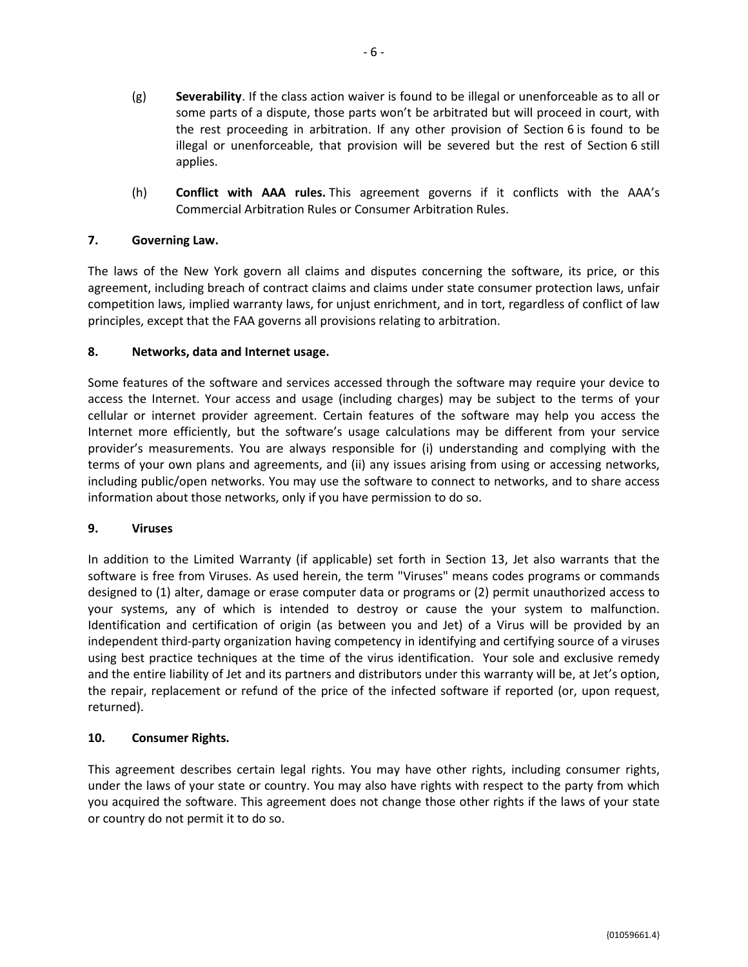- (g) **Severability**. If the class action waiver is found to be illegal or unenforceable as to all or some parts of a dispute, those parts won't be arbitrated but will proceed in court, with the rest proceeding in arbitration. If any other provision of Section 6 is found to be illegal or unenforceable, that provision will be severed but the rest of Section 6 still applies.
- (h) **Conflict with AAA rules.** This agreement governs if it conflicts with the AAA's Commercial Arbitration Rules or Consumer Arbitration Rules.

## **7. Governing Law.**

The laws of the New York govern all claims and disputes concerning the software, its price, or this agreement, including breach of contract claims and claims under state consumer protection laws, unfair competition laws, implied warranty laws, for unjust enrichment, and in tort, regardless of conflict of law principles, except that the FAA governs all provisions relating to arbitration.

## **8. Networks, data and Internet usage.**

Some features of the software and services accessed through the software may require your device to access the Internet. Your access and usage (including charges) may be subject to the terms of your cellular or internet provider agreement. Certain features of the software may help you access the Internet more efficiently, but the software's usage calculations may be different from your service provider's measurements. You are always responsible for (i) understanding and complying with the terms of your own plans and agreements, and (ii) any issues arising from using or accessing networks, including public/open networks. You may use the software to connect to networks, and to share access information about those networks, only if you have permission to do so.

#### **9. Viruses**

In addition to the Limited Warranty (if applicable) set forth in Section 13, Jet also warrants that the software is free from Viruses. As used herein, the term "Viruses" means codes programs or commands designed to (1) alter, damage or erase computer data or programs or (2) permit unauthorized access to your systems, any of which is intended to destroy or cause the your system to malfunction. Identification and certification of origin (as between you and Jet) of a Virus will be provided by an independent third-party organization having competency in identifying and certifying source of a viruses using best practice techniques at the time of the virus identification. Your sole and exclusive remedy and the entire liability of Jet and its partners and distributors under this warranty will be, at Jet's option, the repair, replacement or refund of the price of the infected software if reported (or, upon request, returned).

#### **10. Consumer Rights.**

This agreement describes certain legal rights. You may have other rights, including consumer rights, under the laws of your state or country. You may also have rights with respect to the party from which you acquired the software. This agreement does not change those other rights if the laws of your state or country do not permit it to do so.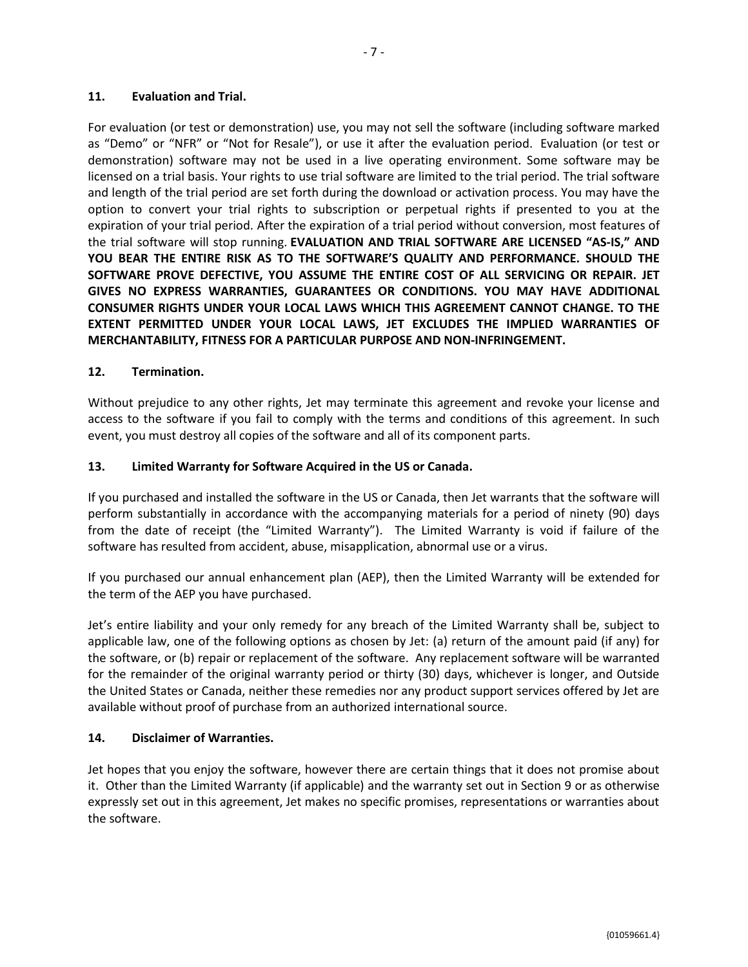For evaluation (or test or demonstration) use, you may not sell the software (including software marked as "Demo" or "NFR" or "Not for Resale"), or use it after the evaluation period. Evaluation (or test or demonstration) software may not be used in a live operating environment. Some software may be licensed on a trial basis. Your rights to use trial software are limited to the trial period. The trial software and length of the trial period are set forth during the download or activation process. You may have the option to convert your trial rights to subscription or perpetual rights if presented to you at the expiration of your trial period. After the expiration of a trial period without conversion, most features of the trial software will stop running. **EVALUATION AND TRIAL SOFTWARE ARE LICENSED "AS-IS," AND YOU BEAR THE ENTIRE RISK AS TO THE SOFTWARE'S QUALITY AND PERFORMANCE. SHOULD THE SOFTWARE PROVE DEFECTIVE, YOU ASSUME THE ENTIRE COST OF ALL SERVICING OR REPAIR. JET GIVES NO EXPRESS WARRANTIES, GUARANTEES OR CONDITIONS. YOU MAY HAVE ADDITIONAL CONSUMER RIGHTS UNDER YOUR LOCAL LAWS WHICH THIS AGREEMENT CANNOT CHANGE. TO THE EXTENT PERMITTED UNDER YOUR LOCAL LAWS, JET EXCLUDES THE IMPLIED WARRANTIES OF MERCHANTABILITY, FITNESS FOR A PARTICULAR PURPOSE AND NON-INFRINGEMENT.**

## **12. Termination.**

Without prejudice to any other rights, Jet may terminate this agreement and revoke your license and access to the software if you fail to comply with the terms and conditions of this agreement. In such event, you must destroy all copies of the software and all of its component parts.

## **13. Limited Warranty for Software Acquired in the US or Canada.**

If you purchased and installed the software in the US or Canada, then Jet warrants that the software will perform substantially in accordance with the accompanying materials for a period of ninety (90) days from the date of receipt (the "Limited Warranty"). The Limited Warranty is void if failure of the software has resulted from accident, abuse, misapplication, abnormal use or a virus.

If you purchased our annual enhancement plan (AEP), then the Limited Warranty will be extended for the term of the AEP you have purchased.

Jet's entire liability and your only remedy for any breach of the Limited Warranty shall be, subject to applicable law, one of the following options as chosen by Jet: (a) return of the amount paid (if any) for the software, or (b) repair or replacement of the software. Any replacement software will be warranted for the remainder of the original warranty period or thirty (30) days, whichever is longer, and Outside the United States or Canada, neither these remedies nor any product support services offered by Jet are available without proof of purchase from an authorized international source.

## **14. Disclaimer of Warranties.**

Jet hopes that you enjoy the software, however there are certain things that it does not promise about it. Other than the Limited Warranty (if applicable) and the warranty set out in Section 9 or as otherwise expressly set out in this agreement, Jet makes no specific promises, representations or warranties about the software.